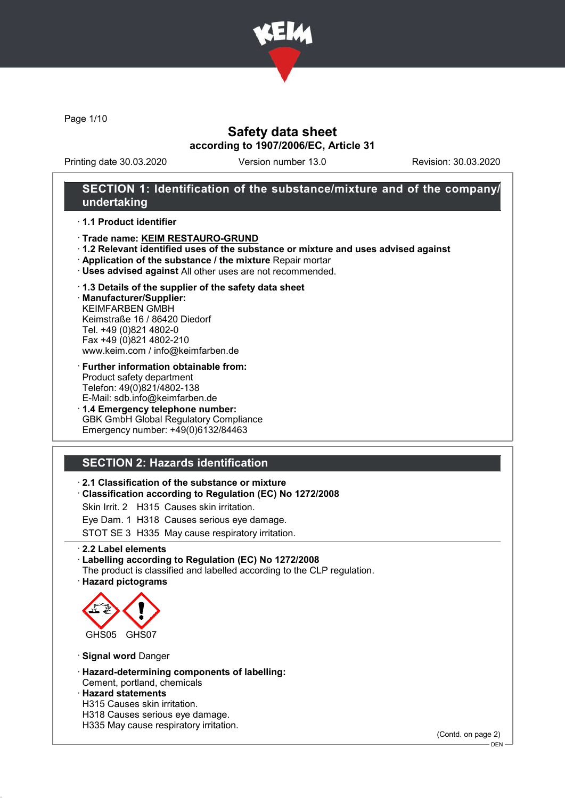

Page 1/10

# Safety data sheet according to 1907/2006/EC, Article 31

Printing date 30.03.2020 Version number 13.0 Revision: 30.03.2020

## SECTION 1: Identification of the substance/mixture and of the company/ undertaking

### · 1.1 Product identifier

- · Trade name: KEIM RESTAURO-GRUND
- · 1.2 Relevant identified uses of the substance or mixture and uses advised against
- · Application of the substance / the mixture Repair mortar
- · Uses advised against All other uses are not recommended.

### · 1.3 Details of the supplier of the safety data sheet

· Manufacturer/Supplier: KEIMFARBEN GMBH Keimstraße 16 / 86420 Diedorf Tel. +49 (0)821 4802-0 Fax +49 (0)821 4802-210 www.keim.com / info@keimfarben.de

- · Further information obtainable from: Product safety department Telefon: 49(0)821/4802-138 E-Mail: sdb.info@keimfarben.de
- · 1.4 Emergency telephone number: GBK GmbH Global Regulatory Compliance Emergency number: +49(0)6132/84463

# SECTION 2: Hazards identification

## · 2.1 Classification of the substance or mixture

- · Classification according to Regulation (EC) No 1272/2008
- Skin Irrit. 2 H315 Causes skin irritation.
- Eye Dam. 1 H318 Causes serious eye damage.

STOT SE 3 H335 May cause respiratory irritation.

· 2.2 Label elements

### · Labelling according to Regulation (EC) No 1272/2008

The product is classified and labelled according to the CLP regulation. · Hazard pictograms



· Signal word Danger

- · Hazard-determining components of labelling:
- Cement, portland, chemicals · Hazard statements
- H315 Causes skin irritation.
- H318 Causes serious eye damage.
- H335 May cause respiratory irritation.

(Contd. on page 2)

DEN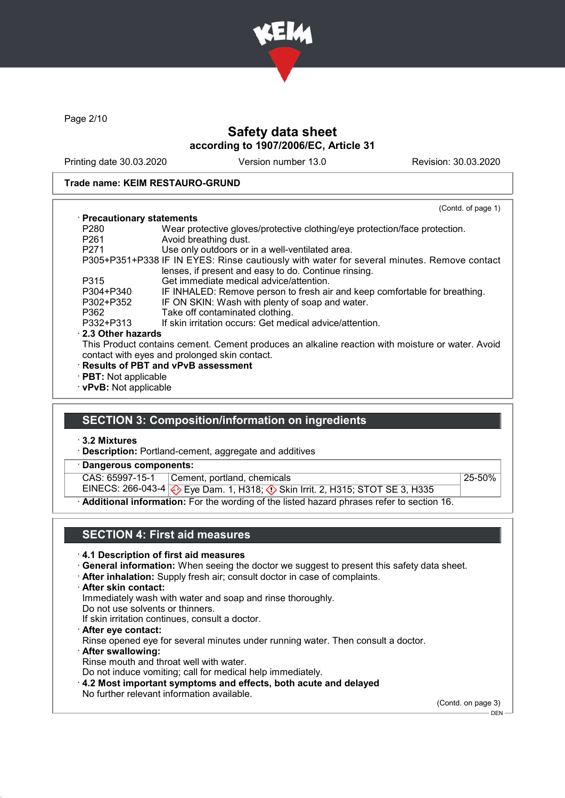

Page 2/10

# Safety data sheet according to 1907/2006/EC, Article 31

Printing date 30.03.2020 Version number 13.0 Revision: 30.03.2020

### Trade name: KEIM RESTAURO-GRUND

|                             | (Contd. of page 1)                                                                                                                                 |  |
|-----------------------------|----------------------------------------------------------------------------------------------------------------------------------------------------|--|
| · Precautionary statements  |                                                                                                                                                    |  |
| P <sub>280</sub>            | Wear protective gloves/protective clothing/eye protection/face protection.                                                                         |  |
| P <sub>261</sub>            | Avoid breathing dust.                                                                                                                              |  |
| P <sub>271</sub>            | Use only outdoors or in a well-ventilated area.                                                                                                    |  |
|                             | P305+P351+P338 IF IN EYES: Rinse cautiously with water for several minutes. Remove contact<br>lenses, if present and easy to do. Continue rinsing. |  |
| P315                        | Get immediate medical advice/attention.                                                                                                            |  |
| P304+P340                   | IF INHALED: Remove person to fresh air and keep comfortable for breathing.                                                                         |  |
| P302+P352                   | IF ON SKIN: Wash with plenty of soap and water.                                                                                                    |  |
| P362                        | Take off contaminated clothing.                                                                                                                    |  |
| P332+P313                   | If skin irritation occurs: Get medical advice/attention.                                                                                           |  |
| 2.3 Other hazards           |                                                                                                                                                    |  |
|                             | This Product contains cement. Cement produces an alkaline reaction with moisture or water. Avoid<br>contact with eyes and prolonged skin contact.  |  |
|                             | · Results of PBT and vPvB assessment                                                                                                               |  |
| $\cdot$ PBT: Not applicable |                                                                                                                                                    |  |
| · vPvB: Not applicable      |                                                                                                                                                    |  |

# SECTION 3: Composition/information on ingredients

· 3.2 Mixtures

- · Description: Portland-cement, aggregate and additives
- Dangerous components:

CAS: 65997-15-1 Cement, portland, chemicals 25-50%

EINECS: 266-043-4 Eye Dam. 1, H318; Skin Irrit. 2, H315; STOT SE 3, H335

· Additional information: For the wording of the listed hazard phrases refer to section 16.

# SECTION 4: First aid measures

### · 4.1 Description of first aid measures

- · General information: When seeing the doctor we suggest to present this safety data sheet.
- · After inhalation: Supply fresh air; consult doctor in case of complaints.
- · After skin contact:

Immediately wash with water and soap and rinse thoroughly.

- Do not use solvents or thinners.
- If skin irritation continues, consult a doctor.
- · After eye contact:
- Rinse opened eye for several minutes under running water. Then consult a doctor.
- · After swallowing: Rinse mouth and throat well with water.
- Do not induce vomiting; call for medical help immediately.
- · 4.2 Most important symptoms and effects, both acute and delayed
- No further relevant information available.

(Contd. on page 3)

 $-$  DEN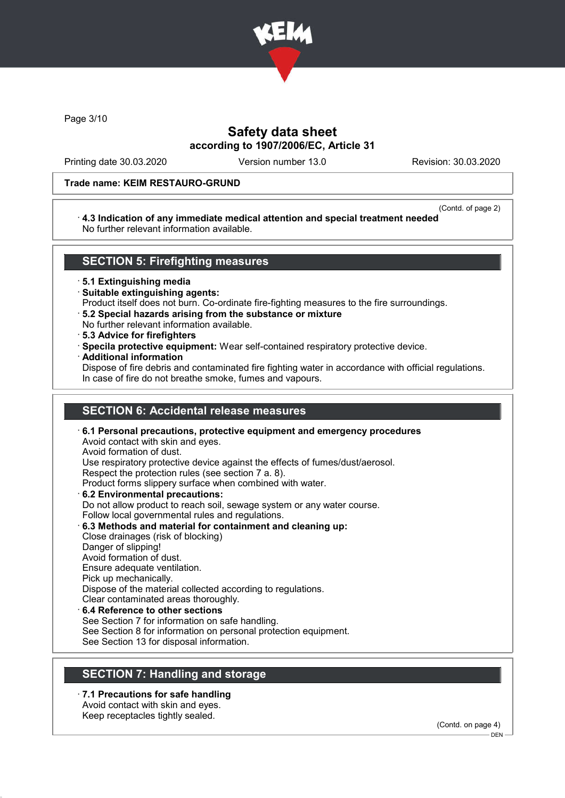

Page 3/10

# Safety data sheet according to 1907/2006/EC, Article 31

Printing date 30.03.2020 Version number 13.0 Revision: 30.03.2020

## Trade name: KEIM RESTAURO-GRUND

#### (Contd. of page 2)

### · 4.3 Indication of any immediate medical attention and special treatment needed No further relevant information available.

## SECTION 5: Firefighting measures

· 5.1 Extinguishing media

- · Suitable extinguishing agents:
- Product itself does not burn. Co-ordinate fire-fighting measures to the fire surroundings.
- · 5.2 Special hazards arising from the substance or mixture
- No further relevant information available.
- · 5.3 Advice for firefighters
- · Specila protective equipment: Wear self-contained respiratory protective device.
- · Additional information

Dispose of fire debris and contaminated fire fighting water in accordance with official regulations. In case of fire do not breathe smoke, fumes and vapours.

# SECTION 6: Accidental release measures

· 6.1 Personal precautions, protective equipment and emergency procedures Avoid contact with skin and eyes. Avoid formation of dust. Use respiratory protective device against the effects of fumes/dust/aerosol. Respect the protection rules (see section 7 a. 8). Product forms slippery surface when combined with water. · 6.2 Environmental precautions: Do not allow product to reach soil, sewage system or any water course. Follow local governmental rules and regulations. · 6.3 Methods and material for containment and cleaning up: Close drainages (risk of blocking) Danger of slipping! Avoid formation of dust. Ensure adequate ventilation. Pick up mechanically. Dispose of the material collected according to regulations.

Clear contaminated areas thoroughly.

## 6.4 Reference to other sections

See Section 7 for information on safe handling.

See Section 8 for information on personal protection equipment.

See Section 13 for disposal information.

# SECTION 7: Handling and storage

· 7.1 Precautions for safe handling Avoid contact with skin and eyes.

Keep receptacles tightly sealed.

(Contd. on page 4)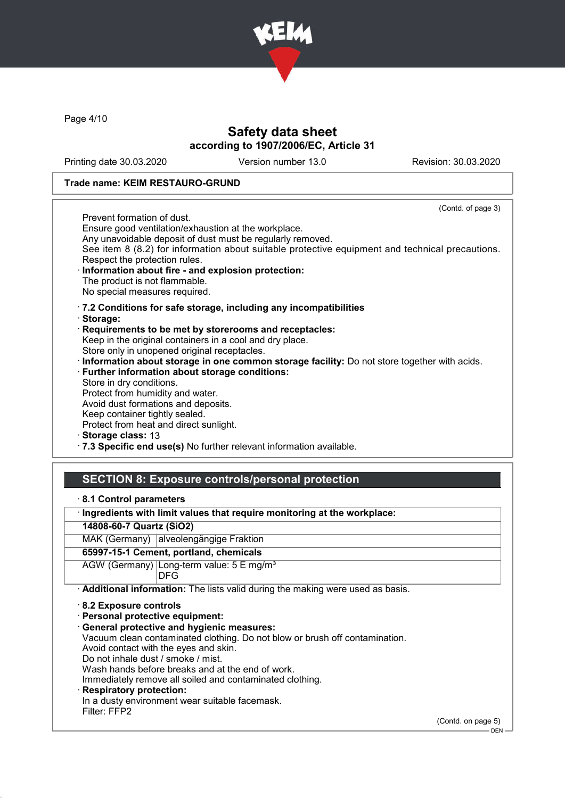

Page 4/10

# Safety data sheet according to 1907/2006/EC, Article 31

Printing date 30.03.2020 Version number 13.0 Revision: 30.03.2020

### Trade name: KEIM RESTAURO-GRUND

(Contd. of page 3) Prevent formation of dust. Ensure good ventilation/exhaustion at the workplace. Any unavoidable deposit of dust must be regularly removed. See item 8 (8.2) for information about suitable protective equipment and technical precautions. Respect the protection rules. Information about fire - and explosion protection: The product is not flammable. No special measures required. · 7.2 Conditions for safe storage, including any incompatibilities · Storage: · Requirements to be met by storerooms and receptacles: Keep in the original containers in a cool and dry place. Store only in unopened original receptacles. · Information about storage in one common storage facility: Do not store together with acids. · Further information about storage conditions: Store in dry conditions. Protect from humidity and water. Avoid dust formations and deposits. Keep container tightly sealed. Protect from heat and direct sunlight. Storage class: 13

· 7.3 Specific end use(s) No further relevant information available.

## SECTION 8: Exposure controls/personal protection

|  |  |  | 8.1 Control parameters |
|--|--|--|------------------------|
|--|--|--|------------------------|

· Ingredients with limit values that require monitoring at the workplace:

14808-60-7 Quartz (SiO2)

MAK (Germany) alveolengängige Fraktion

## 65997-15-1 Cement, portland, chemicals

AGW (Germany) Long-term value: 5 E mg/m<sup>3</sup> DFG

· Additional information: The lists valid during the making were used as basis.

· 8.2 Exposure controls

· Personal protective equipment:

· General protective and hygienic measures:

Vacuum clean contaminated clothing. Do not blow or brush off contamination.

Avoid contact with the eyes and skin.

Do not inhale dust / smoke / mist.

Wash hands before breaks and at the end of work.

Immediately remove all soiled and contaminated clothing.

## **Respiratory protection:**

In a dusty environment wear suitable facemask.

Filter: FFP2

(Contd. on page 5)

 $-$  DEN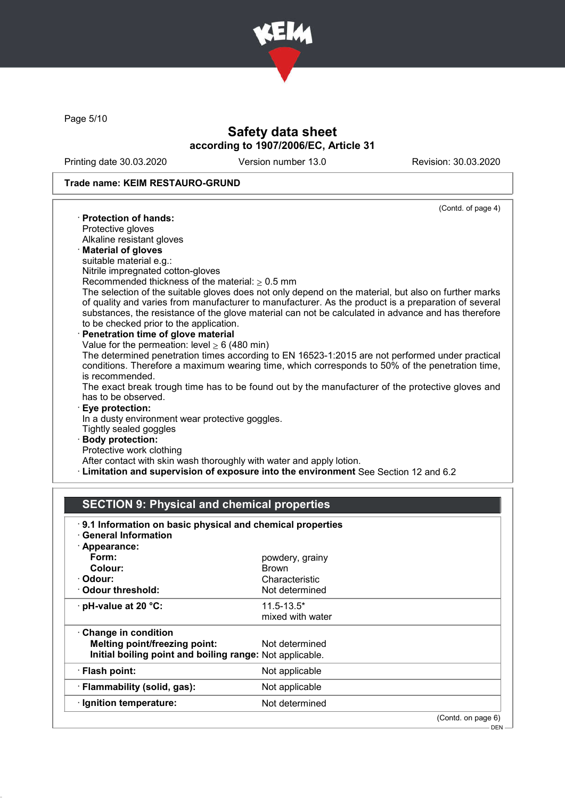

Page 5/10

# Safety data sheet according to 1907/2006/EC, Article 31

Printing date 30.03.2020 Version number 13.0 Revision: 30.03.2020

## Trade name: KEIM RESTAURO-GRUND

|                                                                                                                                                                                                                                                                                                                                                               | (Contd. of page 4) |
|---------------------------------------------------------------------------------------------------------------------------------------------------------------------------------------------------------------------------------------------------------------------------------------------------------------------------------------------------------------|--------------------|
| $\cdot$ Protection of hands:                                                                                                                                                                                                                                                                                                                                  |                    |
| Protective gloves                                                                                                                                                                                                                                                                                                                                             |                    |
| Alkaline resistant gloves                                                                                                                                                                                                                                                                                                                                     |                    |
| · Material of gloves                                                                                                                                                                                                                                                                                                                                          |                    |
| suitable material e.g.:                                                                                                                                                                                                                                                                                                                                       |                    |
| Nitrile impregnated cotton-gloves                                                                                                                                                                                                                                                                                                                             |                    |
| Recommended thickness of the material: $\geq 0.5$ mm                                                                                                                                                                                                                                                                                                          |                    |
| The selection of the suitable gloves does not only depend on the material, but also on further marks<br>of quality and varies from manufacturer to manufacturer. As the product is a preparation of several<br>substances, the resistance of the glove material can not be calculated in advance and has therefore<br>to be checked prior to the application. |                    |
| · Penetration time of glove material                                                                                                                                                                                                                                                                                                                          |                    |
| Value for the permeation: level $\geq 6$ (480 min)                                                                                                                                                                                                                                                                                                            |                    |
| The determined penetration times according to EN 16523-1:2015 are not performed under practical<br>conditions. Therefore a maximum wearing time, which corresponds to 50% of the penetration time,<br>is recommended.                                                                                                                                         |                    |
| The exact break trough time has to be found out by the manufacturer of the protective gloves and<br>has to be observed.                                                                                                                                                                                                                                       |                    |
| · Eye protection:                                                                                                                                                                                                                                                                                                                                             |                    |
| In a dusty environment wear protective goggles.                                                                                                                                                                                                                                                                                                               |                    |
| Tightly sealed goggles                                                                                                                                                                                                                                                                                                                                        |                    |
| · Body protection:                                                                                                                                                                                                                                                                                                                                            |                    |
| Protective work clothing                                                                                                                                                                                                                                                                                                                                      |                    |
| After contact with skin wash thoroughly with water and apply lotion.                                                                                                                                                                                                                                                                                          |                    |
| · Limitation and supervision of exposure into the environment See Section 12 and 6.2                                                                                                                                                                                                                                                                          |                    |

# SECTION 9: Physical and chemical properties

| · Appearance:                                            |                  |  |
|----------------------------------------------------------|------------------|--|
| Form:                                                    | powdery, grainy  |  |
| Colour:                                                  | <b>Brown</b>     |  |
| · Odour:                                                 | Characteristic   |  |
| Odour threshold:                                         | Not determined   |  |
| $\cdot$ pH-value at 20 $\degree$ C:                      | $11.5 - 13.5*$   |  |
|                                                          | mixed with water |  |
| Change in condition                                      |                  |  |
| <b>Melting point/freezing point:</b>                     | Not determined   |  |
| Initial boiling point and boiling range: Not applicable. |                  |  |
| · Flash point:                                           | Not applicable   |  |
| · Flammability (solid, gas):                             | Not applicable   |  |
| · Ignition temperature:                                  | Not determined   |  |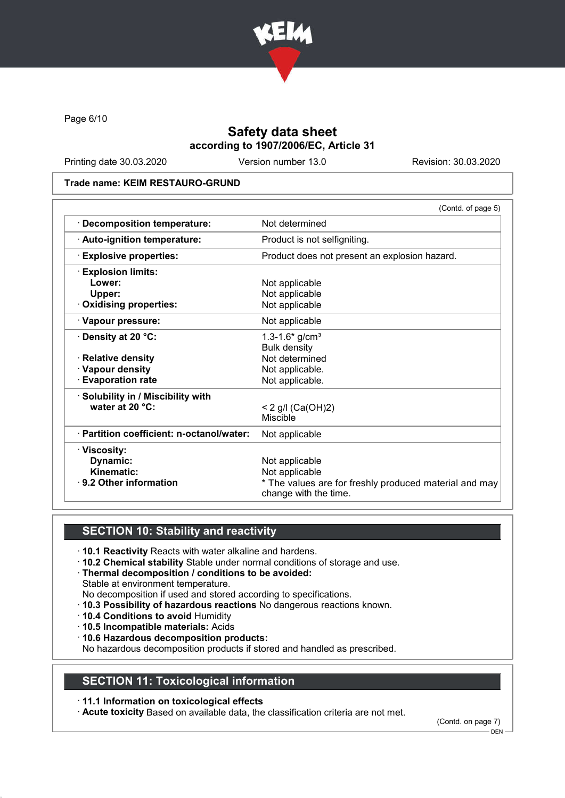

Page 6/10

# Safety data sheet according to 1907/2006/EC, Article 31

Printing date 30.03.2020 Version number 13.0 Revision: 30.03.2020

### Trade name: KEIM RESTAURO-GRUND

|                                           | (Contd. of page 5)                                                              |
|-------------------------------------------|---------------------------------------------------------------------------------|
| <b>Decomposition temperature:</b>         | Not determined                                                                  |
| · Auto-ignition temperature:              | Product is not selfigniting.                                                    |
| <b>Explosive properties:</b>              | Product does not present an explosion hazard.                                   |
| $\cdot$ Explosion limits:                 |                                                                                 |
| Lower:                                    | Not applicable                                                                  |
| Upper:                                    | Not applicable                                                                  |
| <b>Oxidising properties:</b>              | Not applicable                                                                  |
| · Vapour pressure:                        | Not applicable                                                                  |
| $\cdot$ Density at 20 °C:                 | 1.3-1.6* $g/cm3$                                                                |
|                                           | <b>Bulk density</b>                                                             |
| · Relative density                        | Not determined                                                                  |
| · Vapour density                          | Not applicable.                                                                 |
| <b>Evaporation rate</b>                   | Not applicable.                                                                 |
| · Solubility in / Miscibility with        |                                                                                 |
| water at 20 °C:                           | $< 2$ g/l (Ca(OH)2)                                                             |
|                                           | Miscible                                                                        |
| · Partition coefficient: n-octanol/water: | Not applicable                                                                  |
| · Viscosity:                              |                                                                                 |
| Dynamic:                                  | Not applicable                                                                  |
| Kinematic:                                | Not applicable                                                                  |
| · 9.2 Other information                   | * The values are for freshly produced material and may<br>change with the time. |

## SECTION 10: Stability and reactivity

- · 10.1 Reactivity Reacts with water alkaline and hardens.
- · 10.2 Chemical stability Stable under normal conditions of storage and use.
- · Thermal decomposition / conditions to be avoided:
- Stable at environment temperature.
- No decomposition if used and stored according to specifications.
- · 10.3 Possibility of hazardous reactions No dangerous reactions known.
- · 10.4 Conditions to avoid Humidity
- · 10.5 Incompatible materials: Acids
- · 10.6 Hazardous decomposition products:

No hazardous decomposition products if stored and handled as prescribed.

## SECTION 11: Toxicological information

## · 11.1 Information on toxicological effects

· Acute toxicity Based on available data, the classification criteria are not met.

(Contd. on page 7)

 $-$  DEN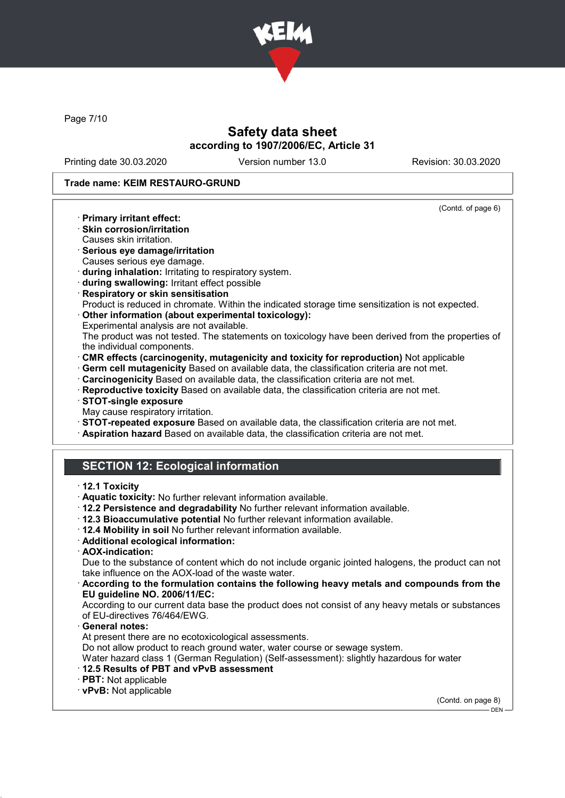

Page 7/10

# Safety data sheet according to 1907/2006/EC, Article 31

Printing date 30.03.2020 Version number 13.0 Revision: 30.03.2020

(Contd. of page 6)

### Trade name: KEIM RESTAURO-GRUND

- · Primary irritant effect:
- · Skin corrosion/irritation
- Causes skin irritation.
- · Serious eye damage/irritation Causes serious eye damage.
- · during inhalation: Irritating to respiratory system.
- · during swallowing: Irritant effect possible
- · Respiratory or skin sensitisation
- Product is reduced in chromate. Within the indicated storage time sensitization is not expected.
- · Other information (about experimental toxicology):
- Experimental analysis are not available.
- The product was not tested. The statements on toxicology have been derived from the properties of the individual components.
- · CMR effects (carcinogenity, mutagenicity and toxicity for reproduction) Not applicable
- · Germ cell mutagenicity Based on available data, the classification criteria are not met.
- · Carcinogenicity Based on available data, the classification criteria are not met.
- · Reproductive toxicity Based on available data, the classification criteria are not met.
- · STOT-single exposure
- May cause respiratory irritation.
- · STOT-repeated exposure Based on available data, the classification criteria are not met.
- · Aspiration hazard Based on available data, the classification criteria are not met.

# SECTION 12: Ecological information

### · 12.1 Toxicity

- · Aquatic toxicity: No further relevant information available.
- · 12.2 Persistence and degradability No further relevant information available.
- · 12.3 Bioaccumulative potential No further relevant information available.
- · 12.4 Mobility in soil No further relevant information available.
- · Additional ecological information:
- · AOX-indication:

Due to the substance of content which do not include organic jointed halogens, the product can not take influence on the AOX-load of the waste water.

### · According to the formulation contains the following heavy metals and compounds from the EU guideline NO. 2006/11/EC:

According to our current data base the product does not consist of any heavy metals or substances of EU-directives 76/464/EWG.

General notes:

At present there are no ecotoxicological assessments.

Do not allow product to reach ground water, water course or sewage system.

Water hazard class 1 (German Regulation) (Self-assessment): slightly hazardous for water

- · 12.5 Results of PBT and vPvB assessment
- · PBT: Not applicable
- · vPvB: Not applicable

(Contd. on page 8)

 $-$  DEN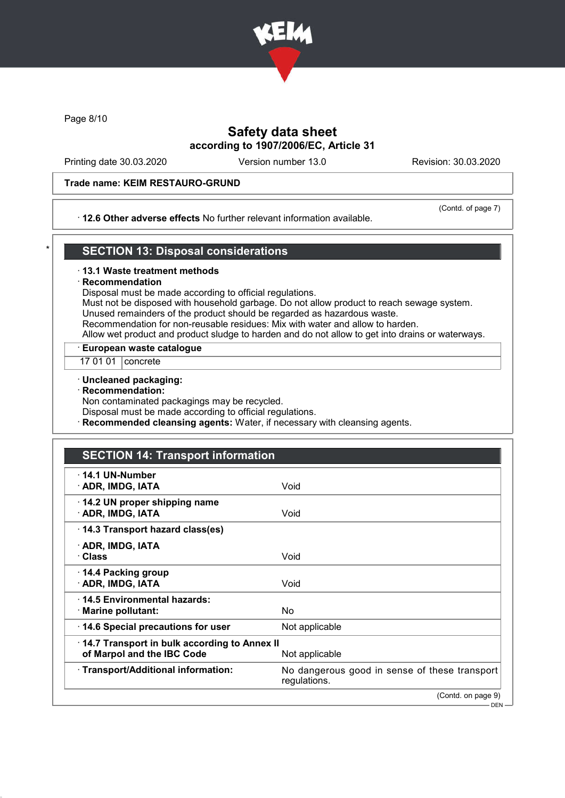

Page 8/10

# Safety data sheet according to 1907/2006/EC, Article 31

Printing date 30.03.2020 Version number 13.0 Revision: 30.03.2020

## Trade name: KEIM RESTAURO-GRUND

## · 12.6 Other adverse effects No further relevant information available.

(Contd. of page 7)

# **SECTION 13: Disposal considerations**

### · 13.1 Waste treatment methods

### **Recommendation**

Disposal must be made according to official regulations.

Must not be disposed with household garbage. Do not allow product to reach sewage system. Unused remainders of the product should be regarded as hazardous waste.

Recommendation for non-reusable residues: Mix with water and allow to harden.

Allow wet product and product sludge to harden and do not allow to get into drains or waterways.

· European waste catalogue

17 01 01 concrete

· Uncleaned packaging:

· Recommendation:

Non contaminated packagings may be recycled.

Disposal must be made according to official regulations.

**Recommended cleansing agents:** Water, if necessary with cleansing agents.

# SECTION 14: Transport information

| $\cdot$ 14.1 UN-Number<br>· ADR, IMDG, IATA                                | Void                                                          |
|----------------------------------------------------------------------------|---------------------------------------------------------------|
| 14.2 UN proper shipping name<br>· ADR, IMDG, IATA                          | Void                                                          |
| 14.3 Transport hazard class(es)                                            |                                                               |
| · ADR, IMDG, IATA<br>· Class                                               | Void                                                          |
| ⋅ 14.4 Packing group<br>· ADR, IMDG, IATA                                  | Void                                                          |
| 14.5 Environmental hazards:<br>· Marine pollutant:                         | No.                                                           |
| 14.6 Special precautions for user                                          | Not applicable                                                |
| 14.7 Transport in bulk according to Annex II<br>of Marpol and the IBC Code | Not applicable                                                |
| · Transport/Additional information:                                        | No dangerous good in sense of these transport<br>regulations. |
|                                                                            | (Contd. on page 9)                                            |
|                                                                            | $DEN -$                                                       |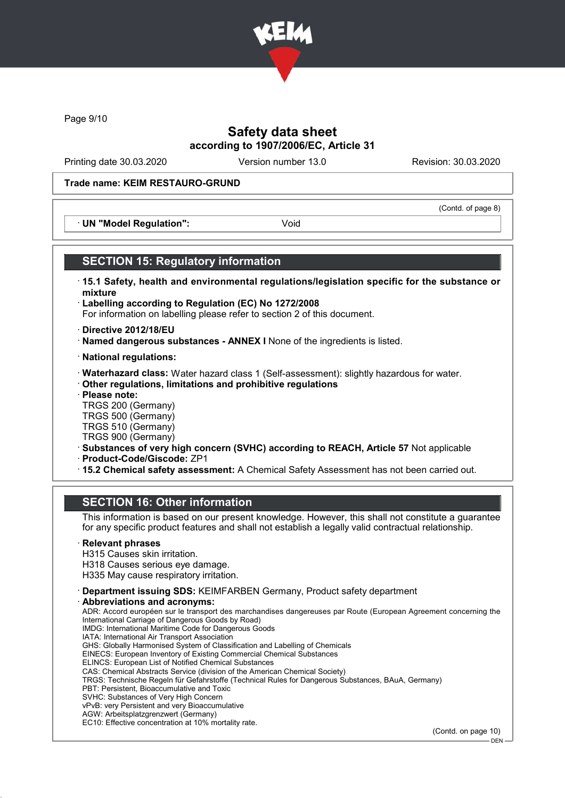

Page 9/10

# Safety data sheet according to 1907/2006/EC, Article 31

Printing date 30.03.2020 Version number 13.0 Revision: 30.03.2020

(Contd. of page 8)

## Trade name: KEIM RESTAURO-GRUND

· UN "Model Regulation": Void

## SECTION 15: Regulatory information

- · 15.1 Safety, health and environmental regulations/legislation specific for the substance or mixture
- · Labelling according to Regulation (EC) No 1272/2008 For information on labelling please refer to section 2 of this document.
- · Directive 2012/18/EU
- · Named dangerous substances ANNEX I None of the ingredients is listed.
- · National regulations:
- · Waterhazard class: Water hazard class 1 (Self-assessment): slightly hazardous for water.
- · Other regulations, limitations and prohibitive regulations
- · Please note:

TRGS 200 (Germany) TRGS 500 (Germany) TRGS 510 (Germany)

- TRGS 900 (Germany)
- · Substances of very high concern (SVHC) according to REACH, Article 57 Not applicable
- · Product-Code/Giscode: ZP1
- · 15.2 Chemical safety assessment: A Chemical Safety Assessment has not been carried out.

## SECTION 16: Other information

This information is based on our present knowledge. However, this shall not constitute a guarantee for any specific product features and shall not establish a legally valid contractual relationship.

### **Relevant phrases**

- H315 Causes skin irritation.
- H318 Causes serious eye damage.
- H335 May cause respiratory irritation.
- · Department issuing SDS: KEIMFARBEN Germany, Product safety department
- Abbreviations and acronyms:

ADR: Accord européen sur le transport des marchandises dangereuses par Route (European Agreement concerning the International Carriage of Dangerous Goods by Road) IMDG: International Maritime Code for Dangerous Goods IATA: International Air Transport Association GHS: Globally Harmonised System of Classification and Labelling of Chemicals EINECS: European Inventory of Existing Commercial Chemical Substances ELINCS: European List of Notified Chemical Substances CAS: Chemical Abstracts Service (division of the American Chemical Society) TRGS: Technische Regeln für Gefahrstoffe (Technical Rules for Dangerous Substances, BAuA, Germany) PBT: Persistent, Bioaccumulative and Toxic SVHC: Substances of Very High Concern vPvB: very Persistent and very Bioaccumulative AGW: Arbeitsplatzgrenzwert (Germany)

EC10: Effective concentration at 10% mortality rate.

(Contd. on page 10)

DEN